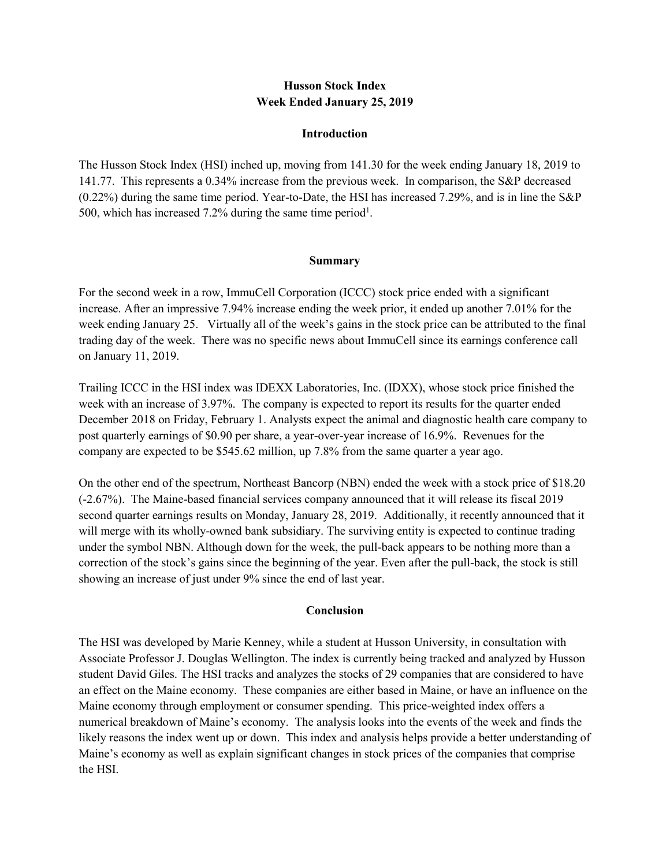## **Husson Stock Index Week Ended January 25, 2019**

#### **Introduction**

The Husson Stock Index (HSI) inched up, moving from 141.30 for the week ending January 18, 2019 to 141.77. This represents a 0.34% increase from the previous week. In comparison, the S&P decreased (0.22%) during the same time period. Year-to-Date, the HSI has increased 7.29%, and is in line the S&P 500, which has increased 7.2% during the same time period<sup>1</sup>.

### **Summary**

For the second week in a row, ImmuCell Corporation (ICCC) stock price ended with a significant increase. After an impressive 7.94% increase ending the week prior, it ended up another 7.01% for the week ending January 25. Virtually all of the week's gains in the stock price can be attributed to the final trading day of the week. There was no specific news about ImmuCell since its earnings conference call on January 11, 2019.

Trailing ICCC in the HSI index was IDEXX Laboratories, Inc. (IDXX), whose stock price finished the week with an increase of 3.97%. The company is expected to report its results for the quarter ended December 2018 on Friday, February 1. Analysts expect the animal and diagnostic health care company to post quarterly earnings of \$0.90 per share, a year-over-year increase of 16.9%. Revenues for the company are expected to be \$545.62 million, up 7.8% from the same quarter a year ago.

On the other end of the spectrum, Northeast Bancorp (NBN) ended the week with a stock price of \$18.20 (-2.67%). The Maine-based financial services company announced that it will release its fiscal 2019 second quarter earnings results on Monday, January 28, 2019. Additionally, it recently announced that it will merge with its wholly-owned bank subsidiary. The surviving entity is expected to continue trading under the symbol NBN. Although down for the week, the pull-back appears to be nothing more than a correction of the stock's gains since the beginning of the year. Even after the pull-back, the stock is still showing an increase of just under 9% since the end of last year.

## **Conclusion**

The HSI was developed by Marie Kenney, while a student at Husson University, in consultation with Associate Professor J. Douglas Wellington. The index is currently being tracked and analyzed by Husson student David Giles. The HSI tracks and analyzes the stocks of 29 companies that are considered to have an effect on the Maine economy. These companies are either based in Maine, or have an influence on the Maine economy through employment or consumer spending. This price-weighted index offers a numerical breakdown of Maine's economy. The analysis looks into the events of the week and finds the likely reasons the index went up or down. This index and analysis helps provide a better understanding of Maine's economy as well as explain significant changes in stock prices of the companies that comprise the HSI.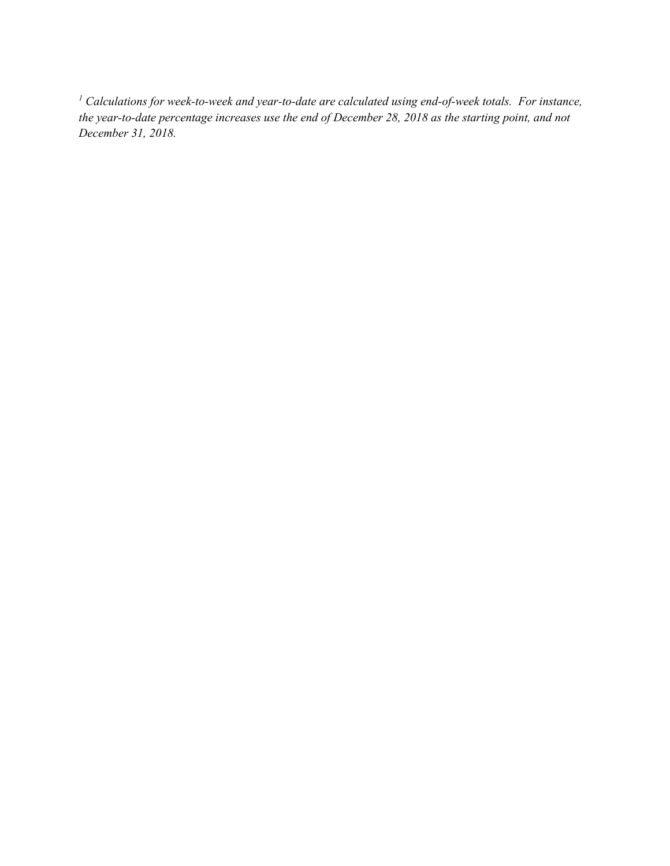*<sup>1</sup> Calculations for week-to-week and year-to-date are calculated using end-of-week totals. For instance, the year-to-date percentage increases use the end of December 28, 2018 as the starting point, and not December 31, 2018.*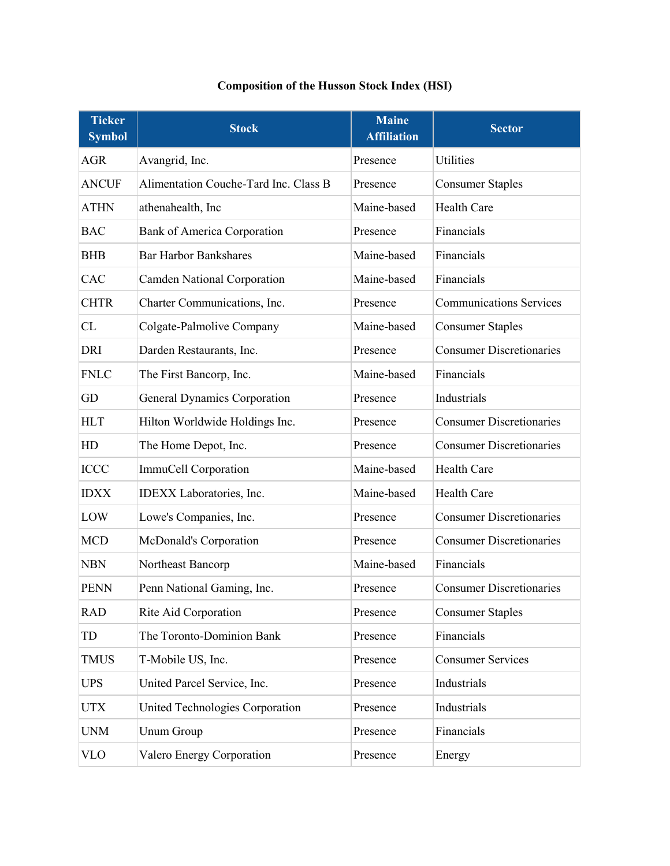# **Composition of the Husson Stock Index (HSI)**

| <b>Ticker</b><br><b>Symbol</b> | <b>Stock</b>                          | <b>Maine</b><br><b>Affiliation</b> | <b>Sector</b>                   |
|--------------------------------|---------------------------------------|------------------------------------|---------------------------------|
| <b>AGR</b>                     | Avangrid, Inc.                        | Presence                           | Utilities                       |
| <b>ANCUF</b>                   | Alimentation Couche-Tard Inc. Class B | Presence                           | <b>Consumer Staples</b>         |
| <b>ATHN</b>                    | athenahealth, Inc                     | Maine-based                        | Health Care                     |
| <b>BAC</b>                     | Bank of America Corporation           | Presence                           | Financials                      |
| <b>BHB</b>                     | <b>Bar Harbor Bankshares</b>          | Maine-based                        | Financials                      |
| CAC                            | <b>Camden National Corporation</b>    | Maine-based                        | Financials                      |
| <b>CHTR</b>                    | Charter Communications, Inc.          | Presence                           | <b>Communications Services</b>  |
| CL                             | Colgate-Palmolive Company             | Maine-based                        | <b>Consumer Staples</b>         |
| <b>DRI</b>                     | Darden Restaurants, Inc.              | Presence                           | <b>Consumer Discretionaries</b> |
| <b>FNLC</b>                    | The First Bancorp, Inc.               | Maine-based                        | Financials                      |
| GD                             | <b>General Dynamics Corporation</b>   | Presence                           | Industrials                     |
| <b>HLT</b>                     | Hilton Worldwide Holdings Inc.        | Presence                           | <b>Consumer Discretionaries</b> |
| HD                             | The Home Depot, Inc.                  | Presence                           | <b>Consumer Discretionaries</b> |
| <b>ICCC</b>                    | ImmuCell Corporation                  | Maine-based                        | Health Care                     |
| <b>IDXX</b>                    | IDEXX Laboratories, Inc.              | Maine-based                        | Health Care                     |
| LOW                            | Lowe's Companies, Inc.                | Presence                           | <b>Consumer Discretionaries</b> |
| <b>MCD</b>                     | McDonald's Corporation                | Presence                           | <b>Consumer Discretionaries</b> |
| <b>NBN</b>                     | Northeast Bancorp                     | Maine-based                        | Financials                      |
| <b>PENN</b>                    | Penn National Gaming, Inc.            | Presence                           | <b>Consumer Discretionaries</b> |
| <b>RAD</b>                     | Rite Aid Corporation                  | Presence                           | <b>Consumer Staples</b>         |
| TD                             | The Toronto-Dominion Bank             | Presence                           | Financials                      |
| <b>TMUS</b>                    | T-Mobile US, Inc.                     | Presence                           | <b>Consumer Services</b>        |
| <b>UPS</b>                     | United Parcel Service, Inc.           | Presence                           | Industrials                     |
| <b>UTX</b>                     | United Technologies Corporation       | Presence                           | Industrials                     |
| <b>UNM</b>                     | Unum Group                            | Presence                           | Financials                      |
| <b>VLO</b>                     | Valero Energy Corporation             | Presence                           | Energy                          |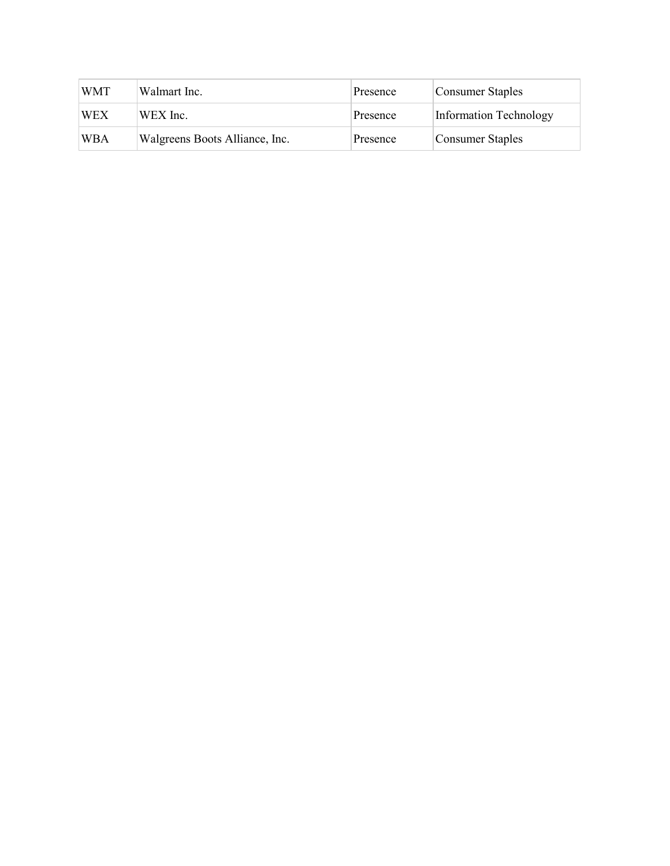| <b>WMT</b> | Walmart Inc.                   | Presence | Consumer Staples       |
|------------|--------------------------------|----------|------------------------|
| <b>WEX</b> | WEX Inc.                       | Presence | Information Technology |
| <b>WBA</b> | Walgreens Boots Alliance, Inc. | Presence | Consumer Staples       |